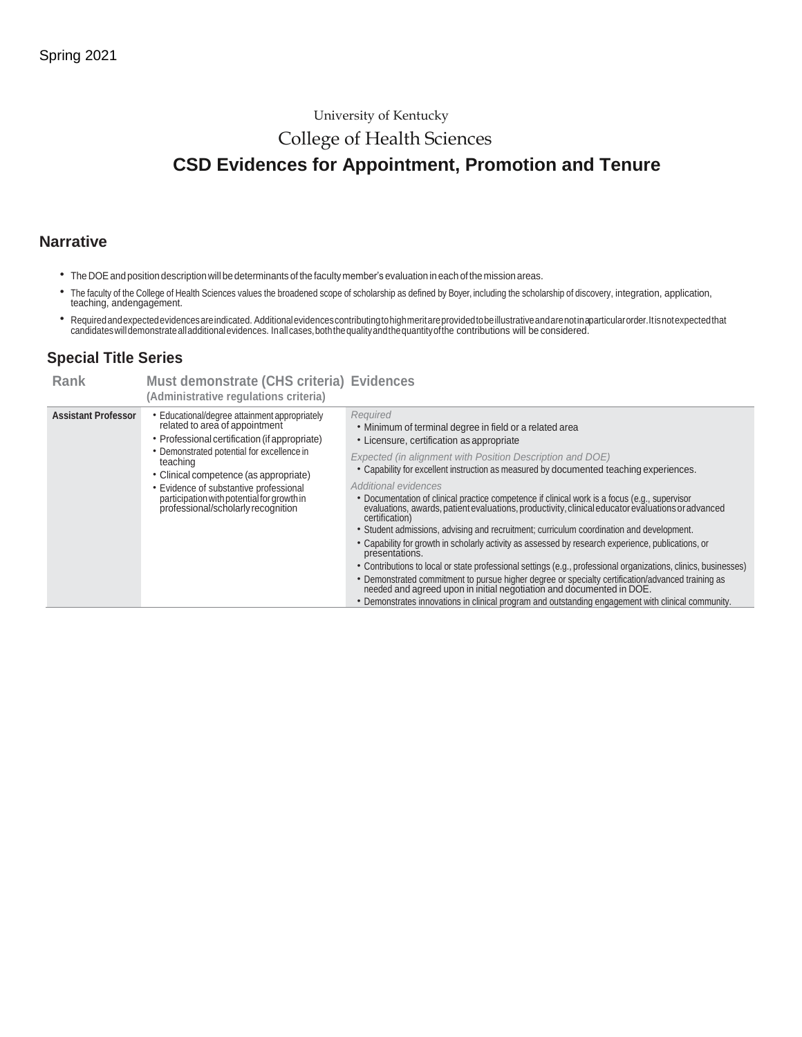### University of Kentucky

## College of Health Sciences

# **CSD Evidences for Appointment, Promotion and Tenure**

## **Narrative**

- TheDOEand position descriptionwill be determinants of the facultymember's evaluation in each of the mission areas.
- The faculty of the College of Health Sciences values the broadened scope of scholarship as defined by Boyer, including the scholarship of discovery, integration, application, teaching, andengagement.
- \* Required and expected evidences are indicated. Additional evidences contributing to high merit are provided to be illustrative and are not in aparticular order. It is not expected that<br>candidates will demonstrate all add

## **Special Title Series**

| <b>Rank</b>                | Must demonstrate (CHS criteria) Evidences<br>(Administrative regulations criteria)                                                                                                                                                                                                                                                                                 |                                                                                                                                                                                                                                                                                                                                                                                                                                                                                                                                                                                                                                                                                                                                                                                                                                                                                                                                                                                                                                                                                                                                                   |
|----------------------------|--------------------------------------------------------------------------------------------------------------------------------------------------------------------------------------------------------------------------------------------------------------------------------------------------------------------------------------------------------------------|---------------------------------------------------------------------------------------------------------------------------------------------------------------------------------------------------------------------------------------------------------------------------------------------------------------------------------------------------------------------------------------------------------------------------------------------------------------------------------------------------------------------------------------------------------------------------------------------------------------------------------------------------------------------------------------------------------------------------------------------------------------------------------------------------------------------------------------------------------------------------------------------------------------------------------------------------------------------------------------------------------------------------------------------------------------------------------------------------------------------------------------------------|
| <b>Assistant Professor</b> | • Educational/degree attainment appropriately<br>related to area of appointment<br>• Professional certification (if appropriate)<br>• Demonstrated potential for excellence in<br>teaching<br>• Clinical competence (as appropriate)<br>• Evidence of substantive professional<br>participation with potential for growth in<br>professional/scholarly recognition | Required<br>• Minimum of terminal degree in field or a related area<br>• Licensure, certification as appropriate<br>Expected (in alignment with Position Description and DOE)<br>• Capability for excellent instruction as measured by documented teaching experiences.<br>Additional evidences<br>• Documentation of clinical practice competence if clinical work is a focus (e.g., supervisor<br>evaluations, awards, patient evaluations, productivity, clinical educator evaluations or advanced<br>certification)<br>• Student admissions, advising and recruitment; curriculum coordination and development.<br>• Capability for growth in scholarly activity as assessed by research experience, publications, or<br>presentations.<br>• Contributions to local or state professional settings (e.g., professional organizations, clinics, businesses)<br>• Demonstrated commitment to pursue higher degree or specialty certification/advanced training as<br>needed and agreed upon in initial negotiation and documented in DOE.<br>• Demonstrates innovations in clinical program and outstanding engagement with clinical community. |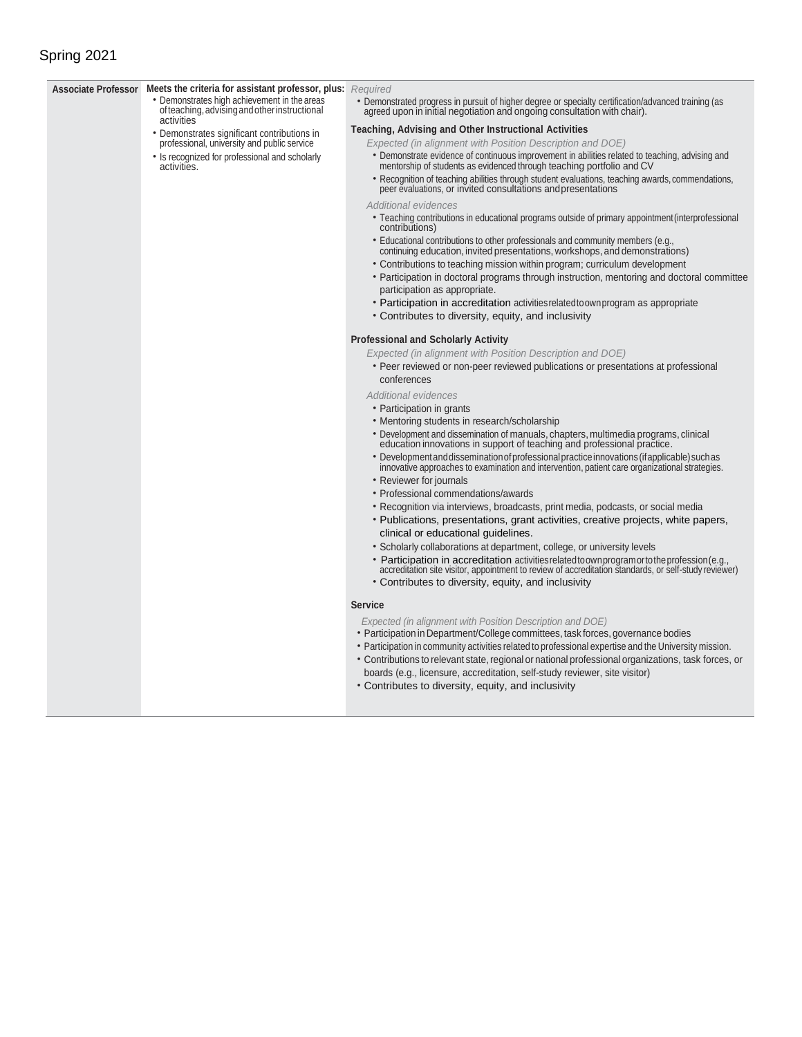## Spring 2021

### **Associate Professor Meets the criteria for assistant professor, plus:** *Required* • Demonstrates high achievement in the areas

- ofteaching,advisingandotherinstructional **activities**
- Demonstrates significant contributions in professional, university and public service
- Is recognized for professional and scholarly activities.

• Demonstrated progress in pursuit of higher degree or specialty certification/advanced training (as agreed upon in initial negotiation and ongoing consultation with chair).

### **Teaching, Advising and Other Instructional Activities**

- *Expected (in alignment with Position Description and DOE)* • Demonstrate evidence of continuous improvement in abilities related to teaching, advising and
- mentorship of students as evidenced through teaching portfolio and CV
- Recognition of teaching abilities through student evaluations, teaching awards, commendations, peer evaluations, or invited consultations and presentations

### *Additional evidences*

- Teaching contributions in educational programs outside of primary appointment(interprofessional contributions)
- Educational contributions to other professionals and community members (e.g., continuing education, invited presentations, workshops, and demonstrations)
- Contributions to teaching mission within program; curriculum development
- Participation in doctoral programs through instruction, mentoring and doctoral committee participation as appropriate.
- Participation in accreditation activitiesrelatedtoownprogram as appropriate
- Contributes to diversity, equity, and inclusivity

### **Professional and Scholarly Activity**

*Expected (in alignment with Position Description and DOE)*

• Peer reviewed or non-peer reviewed publications or presentations at professional conferences

*Additional evidences*

- Participation in grants
- Mentoring students in research/scholarship
- Development and dissemination of manuals, chapters, multimedia programs, clinical education innovations in support of teaching and professional practice.
- Development and dissemination of professional practice innovations (if applicable) such as innovative approaches to examination and intervention, patient care organizational strategies.
- Reviewer for journals
- Professional commendations/awards
- Recognition via interviews, broadcasts, print media, podcasts, or social media
- Publications, presentations, grant activities, creative projects, white papers, clinical or educational guidelines.
- Scholarly collaborations at department, college, or university levels
- Participation in accreditation activitiesrelatedtoownprogramortotheprofession(e.g., accreditation site visitor, appointment to review of accreditation standards, or self-study reviewer)
- Contributes to diversity, equity, and inclusivity

### **Service**

- *Expected (in alignment with Position Description and DOE)*
- Participation in Department/College committees, task forces, governance bodies
- Participation in community activities related to professional expertise and the University mission.
- Contributions to relevant state, regional or national professional organizations, task forces, or boards (e.g., licensure, accreditation, self-study reviewer, site visitor)
- Contributes to diversity, equity, and inclusivity